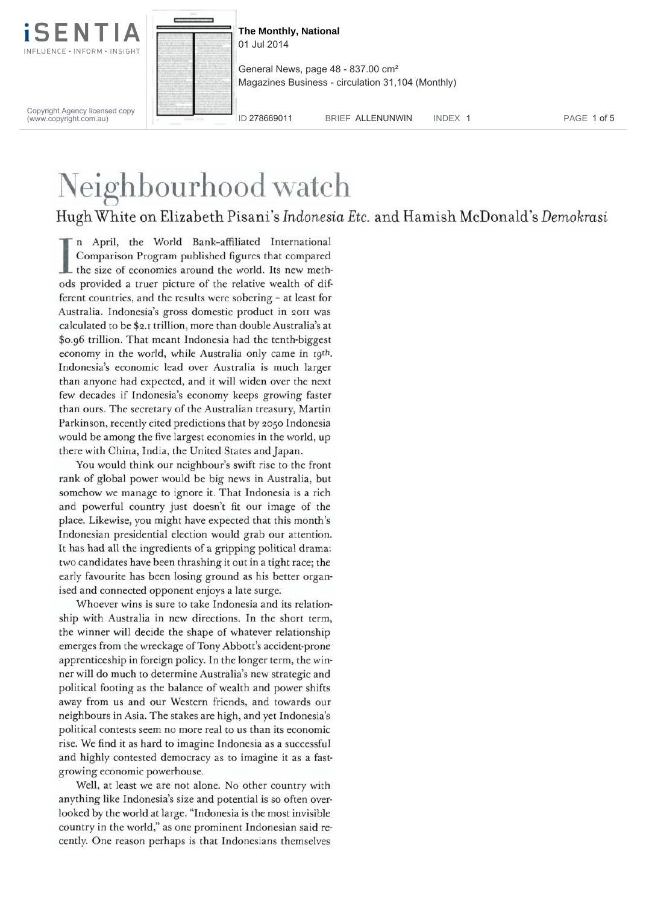



**The Monthly, National** 01 Jul 2014

General News, page 48 - 837.00 cm² Magazines Business - circulation 31,104 (Monthly)

Copyright Agency licensed copy (www.copyright.com.au)

ID 278669011 BRIEF ALLENUNWIN INDEX 1 PAGE 1 of 5

## Neighbourhood watch

## Hugh White on Elizabeth Pisani's *Indonesia Etc.* and Hamish McDonald's *Demokrasi*

In April, the World Bank-affiliated International<br>Comparison Program published figures that compared<br>the size of economies around the world. Its new meth-<br>ods provided a truer picture of the relative wealth of difn April, the World Bank-affiliated International Comparison Program published figures that compared ods provided a truer picture of the relative wealth of different countries, and the results were sobering - at least for Australia. Indonesia's gross domestic product in 2011 was calculated to be \$2.1 trillion, more than double Australia's at \$0.96 trillion. That meant Indonesia had the tenth-biggest economy in the world, while Australia only came in 19th. Indonesia's economic lead over Australia is much larger than anyone had expected, and it will widen over the next few decades if Indonesia's economy keeps growing faster than ours. The secretary of the Australian treasury, Martin Parkinson, recently cited predictions that by 2050 Indonesia would be among the five largest economies in the world, up there with China, India, the United States and Japan.

You would think our neighbour's swift rise to the front rank of global power would be big news in Australia, but somehow we manage to ignore it. That Indonesia is a rich and powerful country just doesn't fit our image of the place. Likewise, you might have expected that this month's Indonesian presidential election would grab our attention. It has had all the ingredients of a gripping political drama: two candidates have been thrashing it out in a tight race; the early favourite has been losing ground as his better organised and connected opponent enjoys a late surge.

Whoever wins is sure to take Indonesia and its relationship with Australia in new directions. In the short term, the winner will decide the shape of whatever relationship emerges from the wreckage of Tony Abbott's accident-prone apprenticeship in foreign policy. In the longer term, the winner will do much to determine Australia's new strategic and political footing as the balance of wealth and power shifts away from us and our Western friends, and towards our neighbours in Asia. The stakes are high, and yet Indonesia's political contests seem no more real to us than its economic rise. We find it as hard to imagine Indonesia as a successful and highly contested democracy as to imagine it as a fastgrowing economic powerhouse.

Well, at least we are not alone. No other country with anything like Indonesia's size and potential is so often overlooked by the world at large. "Indonesia is the most invisible country in the world," as one prominent Indonesian said recently. One reason perhaps is that Indonesians themselves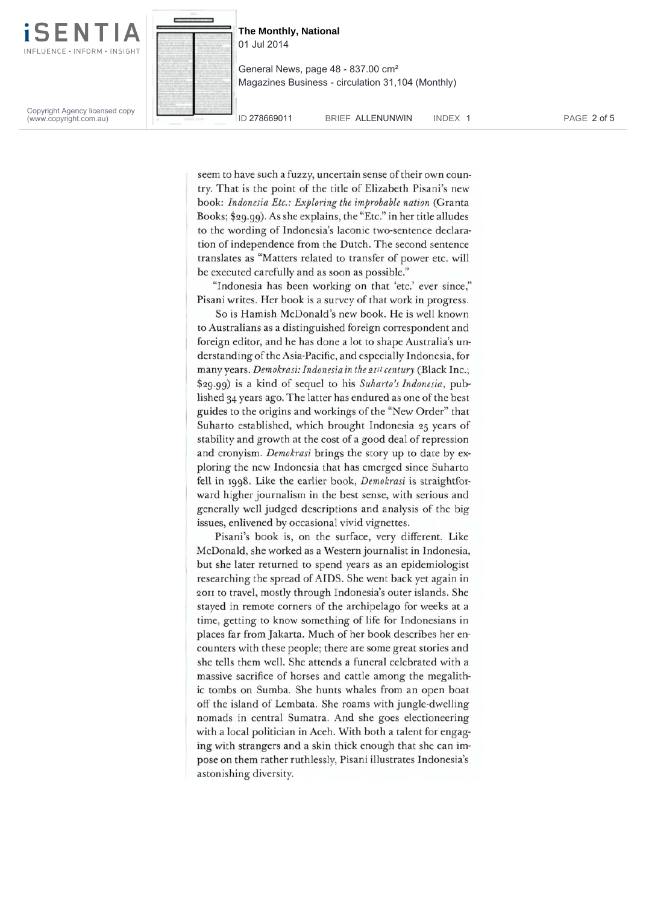

**The Monthly, National** 01 Jul 2014 General News, page 48 - 837.00 cm² Magazines Business - circulation 31,104 (Monthly)

Copyright Agency licensed copy (www.copyright.com.au)

ID 278669011 BRIEF ALLENUNWIN INDEX 1 PAGE 2 of 5

seem to have such a fuzzy, uncertain sense of their own country. That is the point of the title of Elizabeth Pisani's new book: *Indonesia Etc.: Exploring the improbable nation* (Granta Books; \$29.99). As she explains, the "Etc." in her title alludes to the wording of Indonesia's laconic two-sentence declaration of independence from the Dutch. The second sentence translates as "Matters related to transfer of power etc. will be executed carefully and as soon as possible."

"Indonesia has been working on that 'etc.' ever since," Pisani writes. Her book is a survey of that work in progress.

So is Hamish McDonald's new book. He is well known to Australians as a distinguished foreign correspondent and foreign editor, and he has done a lot to shape Australia's understanding of the Asia-Pacific, and especially Indonesia, for many years. *Demokrasi: Indonesia in the 2pt century* (Black Inc.; \$29.99) is a kind of sequel to his Suharto's Indonesia, published 34 years ago. The latter has endured as one of the best guides to the origins and workings of the "New Order" that Suharto established, which brought Indonesia 25 years of stability and growth at the cost of a good deal of repression and cronyism. *Demokrasi* brings the story up to date by exploring the new Indonesia that has emerged since Suharto fell in 1998. Like the earlier book, *Demokrasi* is straightforward higher journalism in the best sense, with serious and generally well judged descriptions and analysis of the big issues, enlivened by occasional vivid vignettes.

Pisani's book is, on the surface, very different. Like McDonald, she worked as a Western journalist in Indonesia, but she later returned to spend years as an epidemiologist researching the spread of AIDS. She went back yet again in 2011 to travel, mostly through Indonesia's outer islands. She stayed in remote corners of the archipelago for weeks at a time, getting to know something of life for Indonesians in places far from Jakarta. Much of her book describes her encounters with these people; there are some great stories and she tells them well. She attends a funeral celebrated with a massive sacrifice of horses and cattle among the megalithic tombs on Sumba. She hunts whales from an open boat off the island of Lembata. She roams with jungle-dwelling nomads in central Sumatra. And she goes electioneering with a local politician in Aceh. With both a talent for engaging with strangers and a skin thick enough that she can impose on them rather ruthlessly, Pisani illustrates Indonesia's astonishing diversity.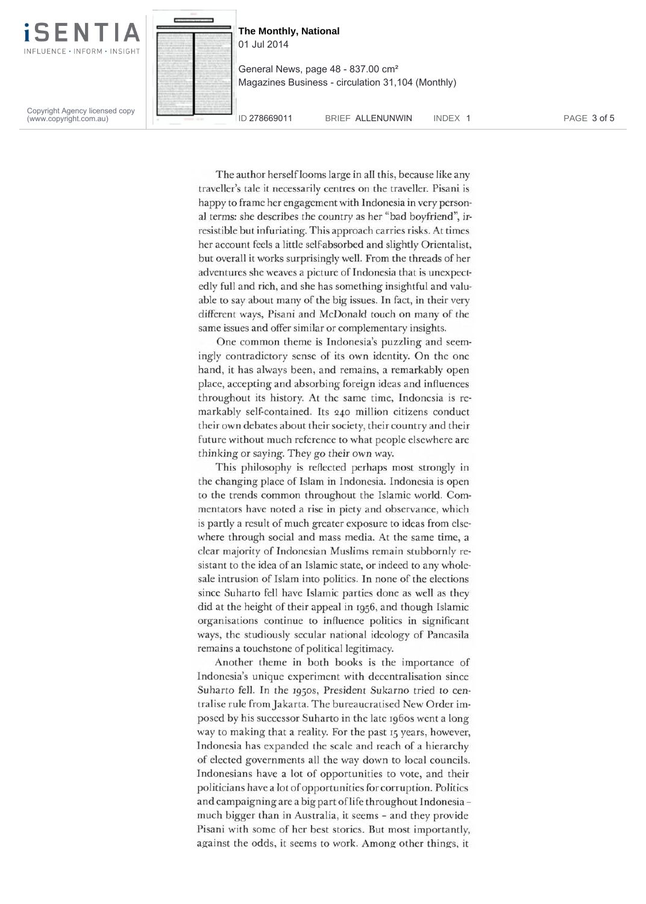

Copyright Agency licensed copy (www.copyright.com.au)



**The Monthly, National** 01 Jul 2014

General News, page 48 - 837.00 cm² Magazines Business - circulation 31,104 (Monthly)

ID 278669011 BRIEF ALLENUNWIN INDEX 1 PAGE 3 of 5

The author herself looms large in all this, because like any traveller's tale it necessarily centres on the traveller. Pisani is happy to frame her engagement with Indonesia in very personal terms: she describes the country as her "bad boyfriend", irresistible but infuriating. This approach carries risks. At times her account feels a little self-absorbed and slightly Orientalist, but overall it works surprisingly well. From the threads of her adventures she weaves a picture of Indonesia that is unexpectedly full and rich, and she has something insightful and valuable to say about many of the big issues. In fact, in their very different ways, Pisani and McDonald touch on many of the same issues and offer similar or complementary insights.

One common theme is Indonesia's puzzling and seemingly contradictory sense of its own identity. On the one hand, it has always been, and remains, a remarkably open place, accepting and absorbing foreign ideas and influences throughout its history. At the same time, Indonesia is remarkably self-contained. Its 240 million citizens conduct their own debates about their society, their country and their future without much reference to what people elsewhere are thinking or saying. They go their own way.

This philosophy is reflected perhaps most strongly in the changing place of Islam in Indonesia. Indonesia is open to the trends common throughout the Islamic world. Commentators have noted a rise in piety and observance, which is partly a result of much greater exposure to ideas from elsewhere through social and mass media. At the same time, a clear majority of Indonesian Muslims remain stubbornly resistant to the idea of an Islamic state, or indeed to any wholesale intrusion of Islam into politics. In none of the elections since Suharto fell have Islamic parties done as well as they did at the height of their appeal in 1956, and though Islamic organisations continue to influence politics in significant ways, the studiously secular national ideology of Pancasila remains a touchstone of political legitimacy.

Another theme in both books is the importance of Indonesia's unique experiment with decentralisation since Suharto fell. In the 1950s, President Sukarno tried to centralise rule from Jakarta. The bureaucratised New Order imposed by his successor Suharto in the late 1960s went a long way to making that a reality. For the past 15 years, however, Indonesia has expanded the scale and reach of a hierarchy of elected governments all the way down to local councils. Indonesians have a lot of opportunities to vote, and their politicians have a lot of opportunities for corruption. Politics and campaigning are a big part of life throughout Indonesia much bigger than in Australia, it seems - and they provide Pisani with some of her best stories. But most importantly, against the odds, it seems to work. Among other things, it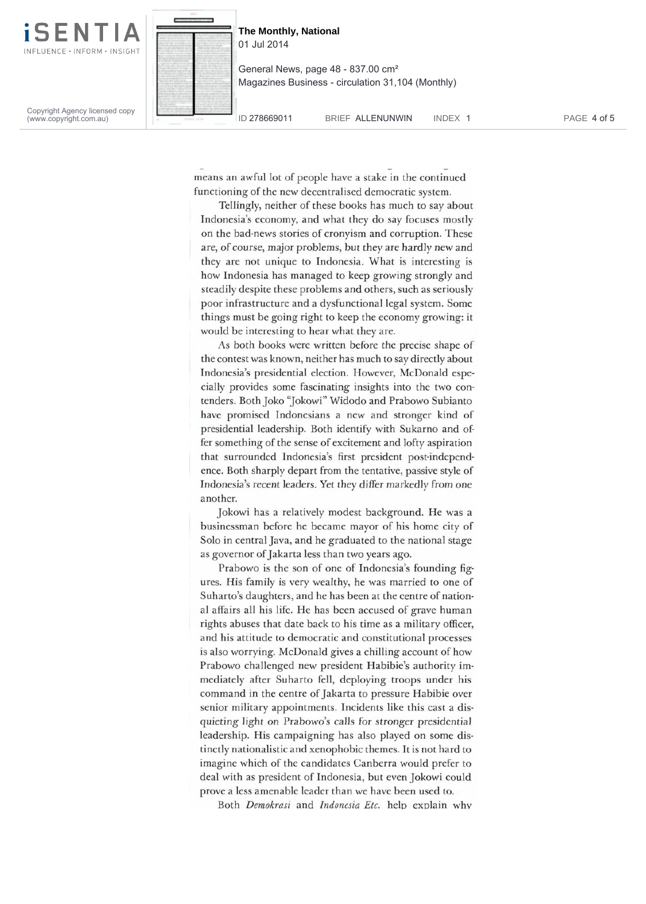

**The Monthly, National** 01 Jul 2014

General News, page 48 - 837.00 cm² Magazines Business - circulation 31,104 (Monthly)

Copyright Agency licensed copy (www.copyright.com.au)

ID 278669011 BRIEF ALLENUNWIN INDEX 1 PAGE 4 of 5

means an awful lot of people have a stake in the continued functioning of the new decentralised democratic system.

Tellingly, neither of these books has much to say about Indonesia's economy, and what they do say focuses mostly on the bad-news stories of cronyism and corruption. These are, of course, major problems, but they are hardly new and they are not unique to Indonesia. What is interesting is how Indonesia has managed to keep growing strongly and steadily despite these problems and others, such as seriously poor infrastructure and a dysfunctional legal system. Some things must be going right to keep the economy growing: it would be interesting to hear what they are.

As both books were written before the precise shape of the contest was known, neither has much to say directly about Indonesia's presidential election. However, McDonald especially provides some fascinating insights into the two contenders. Both Joko "Jokowi" Widodo and Prabowo Subianto have promised Indonesians a new and stronger kind of presidential leadership. Both identify with Sukarno and offer something of the sense of excitement and lofty aspiration that surrounded Indonesia's first president post-independence. Both sharply depart from the tentative, passive style of Indonesia's recent leaders. Yet they differ markedly from one another.

Jokowi has a relatively modest background. He was a businessman before he became mayor of his home city of Solo in central Java, and he graduated to the national stage as governor of Jakarta less than two years ago.

Prabowo is the son of one of Indonesia's founding figures. His family is very wealthy, he was married to one of Suharto's daughters, and he has been at the centre of national affairs all his life. He has been accused of grave human rights abuses that date back to his time as a military officer, and his attitude to democratic and constitutional processes is also worrying. McDonald gives a chilling account of how Prabowo challenged new president Habibie's authority immediately after Suharto fell, deploying troops under his command in the centre of Jakarta to pressure Habibie over senior military appointments. Incidents like this cast a disquieting light on Prabowo's calls for stronger presidential leadership. His campaigning has also played on some distinctly nationalistic and xenophobic themes. It is not hard to imagine which of the candidates Canberra would prefer to deal with as president of Indonesia, but even Jokowi could prove a less amenable leader than we have been used to.

Both *Demokrasi* and *Indonesia Etc.* help explain why